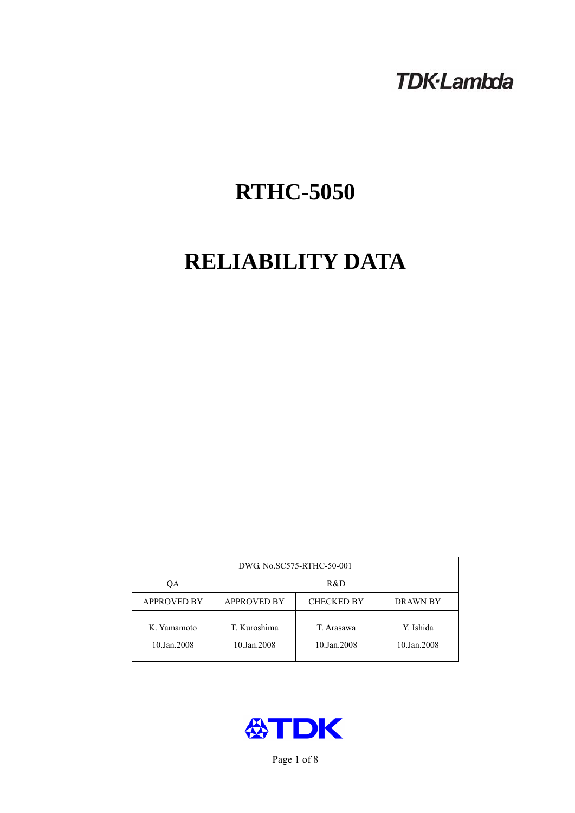## **TDK-Lambda**

# **RTHC-5050**

# **RELIABILITY DATA**

| DWG No.SC575-RTHC-50-001   |                                                            |                           |                          |  |  |
|----------------------------|------------------------------------------------------------|---------------------------|--------------------------|--|--|
| QA                         | R&D                                                        |                           |                          |  |  |
| <b>APPROVED BY</b>         | <b>APPROVED BY</b><br><b>CHECKED BY</b><br><b>DRAWN BY</b> |                           |                          |  |  |
| K. Yamamoto<br>10.Jan.2008 | T. Kuroshima<br>10.Jan.2008                                | T. Arasawa<br>10.Jan.2008 | Y. Ishida<br>10.Jan.2008 |  |  |



Page 1 of 8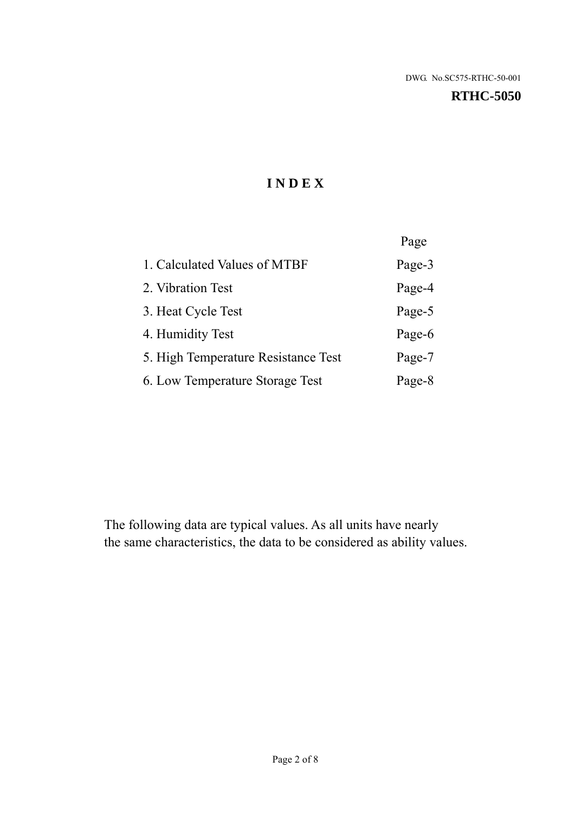#### **RTHC-5050**

## **I N D E X**

|                                     | Page   |
|-------------------------------------|--------|
| 1. Calculated Values of MTBF        | Page-3 |
| 2. Vibration Test                   | Page-4 |
| 3. Heat Cycle Test                  | Page-5 |
| 4. Humidity Test                    | Page-6 |
| 5. High Temperature Resistance Test | Page-7 |
| 6. Low Temperature Storage Test     | Page-8 |

The following data are typical values. As all units have nearly the same characteristics, the data to be considered as ability values.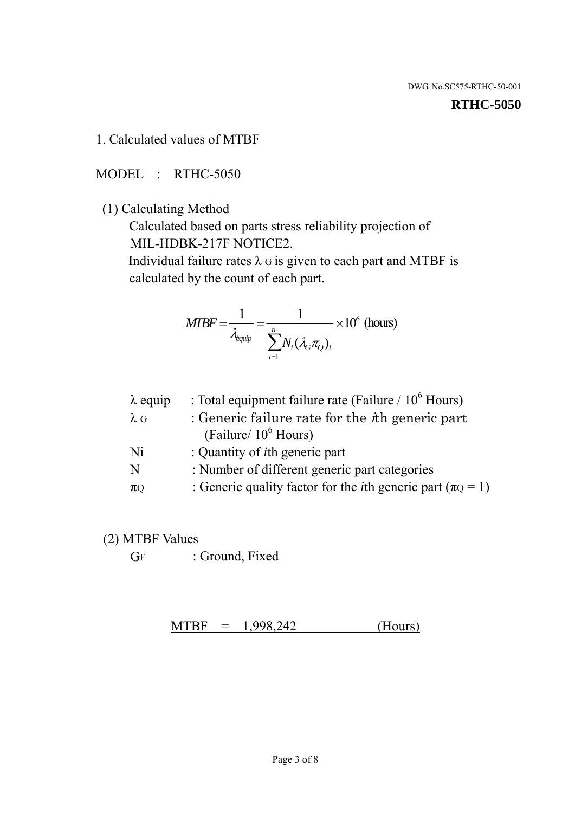#### **RTHC-5050**

1. Calculated values of MTBF

MODEL : RTHC-5050

(1) Calculating Method

 Calculated based on parts stress reliability projection of MIL-HDBK-217F NOTICE2.

Individual failure rates  $\lambda$  G is given to each part and MTBF is calculated by the count of each part.

$$
MTBF = \frac{1}{\lambda_{\text{equip}}} = \frac{1}{\sum_{i=1}^{n} N_i (\lambda_G \pi_Q)_i} \times 10^6 \text{ (hours)}
$$

| $\lambda$ equip | : Total equipment failure rate (Failure $/ 10^6$ Hours)                   |
|-----------------|---------------------------------------------------------------------------|
| $\lambda$ G     | : Generic failure rate for the $\hbar$ generic part                       |
|                 | (Failure/ $10^6$ Hours)                                                   |
| Ni              | : Quantity of <i>i</i> th generic part                                    |
| N               | : Number of different generic part categories                             |
| $\pi$ Q         | : Generic quality factor for the <i>i</i> th generic part ( $\pi Q = 1$ ) |

- (2) MTBF Values
	- GF : Ground, Fixed

 $MTBF = 1,998,242$  (Hours)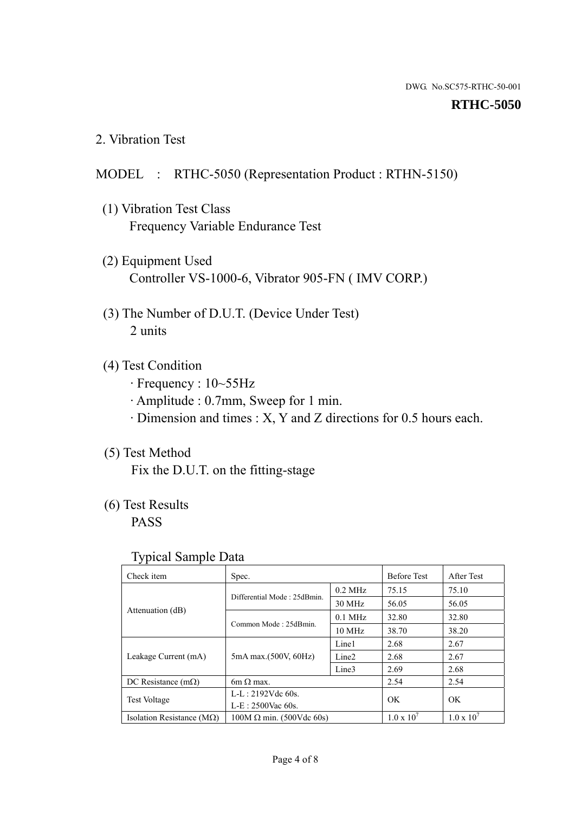#### **RTHC-5050**

2. Vibration Test

## MODEL : RTHC-5050 (Representation Product : RTHN-5150)

- (1) Vibration Test Class Frequency Variable Endurance Test
- (2) Equipment Used Controller VS-1000-6, Vibrator 905-FN ( IMV CORP.)
- (3) The Number of D.U.T. (Device Under Test) 2 units
- (4) Test Condition
	- · Frequency : 10~55Hz
	- · Amplitude : 0.7mm, Sweep for 1 min.
	- · Dimension and times : X, Y and Z directions for 0.5 hours each.

## (5) Test Method

Fix the D.U.T. on the fitting-stage

## (6) Test Results

PASS

#### Typical Sample Data

| Check item                         | Spec.                           |                   | <b>Before Test</b>  | After Test          |
|------------------------------------|---------------------------------|-------------------|---------------------|---------------------|
|                                    | Differential Mode: 25dBmin.     | $0.2$ MHz         | 75.15               | 75.10               |
|                                    |                                 | 30 MHz            | 56.05               | 56.05               |
| Attenuation (dB)                   |                                 | $0.1$ MHz         | 32.80               | 32.80               |
|                                    | Common Mode: 25dBmin.           | 10 MHz            | 38.70               | 38.20               |
| Leakage Current (mA)               | 5mA max.(500V, 60Hz)            | Line1             | 2.68                | 2.67                |
|                                    |                                 | Line <sub>2</sub> | 2.68                | 2.67                |
|                                    |                                 | Line3             | 2.69                | 2.68                |
| DC Resistance $(m\Omega)$          | 6m $\Omega$ max.                |                   | 2.54                | 2.54                |
| <b>Test Voltage</b>                | $L-L: 2192Vdc$ 60s.             |                   | OK                  | OK                  |
|                                    | $L-E$ : 2500Vac 60s.            |                   |                     |                     |
| Isolation Resistance ( $M\Omega$ ) | $100M \Omega$ min. (500Vdc 60s) |                   | $1.0 \times 10^{7}$ | $1.0 \times 10^{7}$ |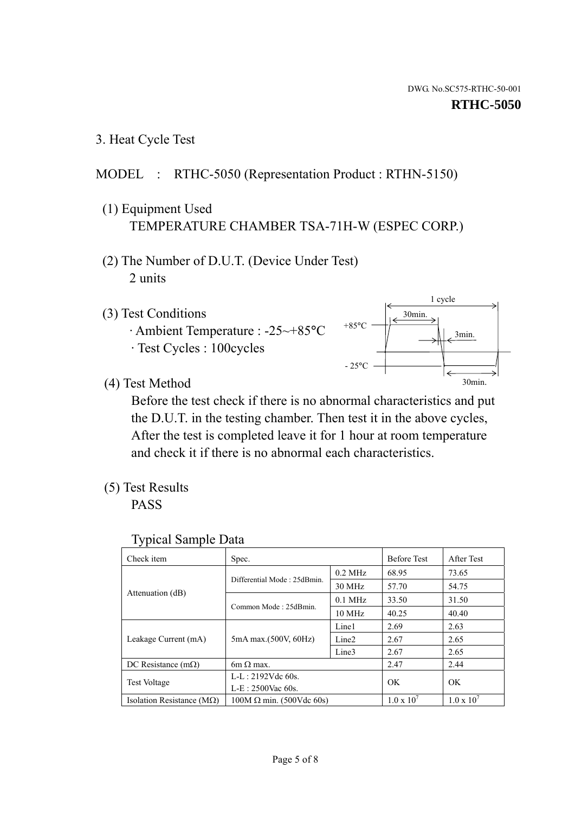1 cycle

30min.

3min.

30min.

3. Heat Cycle Test

## MODEL : RTHC-5050 (Representation Product : RTHN-5150)

- (1) Equipment Used TEMPERATURE CHAMBER TSA-71H-W (ESPEC CORP.)
- (2) The Number of D.U.T. (Device Under Test) 2 units
- (3) Test Conditions
	- · Ambient Temperature : -25~+85°C · Test Cycles : 100cycles
- (4) Test Method

 Before the test check if there is no abnormal characteristics and put the D.U.T. in the testing chamber. Then test it in the above cycles, After the test is completed leave it for 1 hour at room temperature and check it if there is no abnormal each characteristics.

+85°C

 $-25^{\circ}$ C

(5) Test Results

PASS

| <b>Typical Sample Data</b> |  |
|----------------------------|--|
|                            |  |

| Check item                         | Spec.                           |                   | <b>Before Test</b>  | After Test          |
|------------------------------------|---------------------------------|-------------------|---------------------|---------------------|
|                                    | Differential Mode: 25dBmin.     | $0.2$ MHz         | 68.95               | 73.65               |
|                                    |                                 | $30$ MHz          | 57.70               | 54.75               |
| Attenuation (dB)                   | Common Mode: 25dBmin.           | $0.1$ MHz         | 33.50               | 31.50               |
|                                    |                                 | $10$ MHz          | 40.25               | 40.40               |
| Leakage Current (mA)               | 5mA max.(500V, 60Hz)            | Line1             | 2.69                | 2.63                |
|                                    |                                 | Line <sub>2</sub> | 2.67                | 2.65                |
|                                    |                                 | Line3             | 2.67                | 2.65                |
| DC Resistance $(m\Omega)$          | 6m $\Omega$ max.                |                   | 2.47                | 2.44                |
| Test Voltage                       | $L-L: 2192Vdc$ 60s.             |                   | OK                  | OK                  |
|                                    | $L-E$ : 2500Vac 60s.            |                   |                     |                     |
| Isolation Resistance ( $M\Omega$ ) | $100M \Omega$ min. (500Vdc 60s) |                   | $1.0 \times 10^{7}$ | $1.0 \times 10^{7}$ |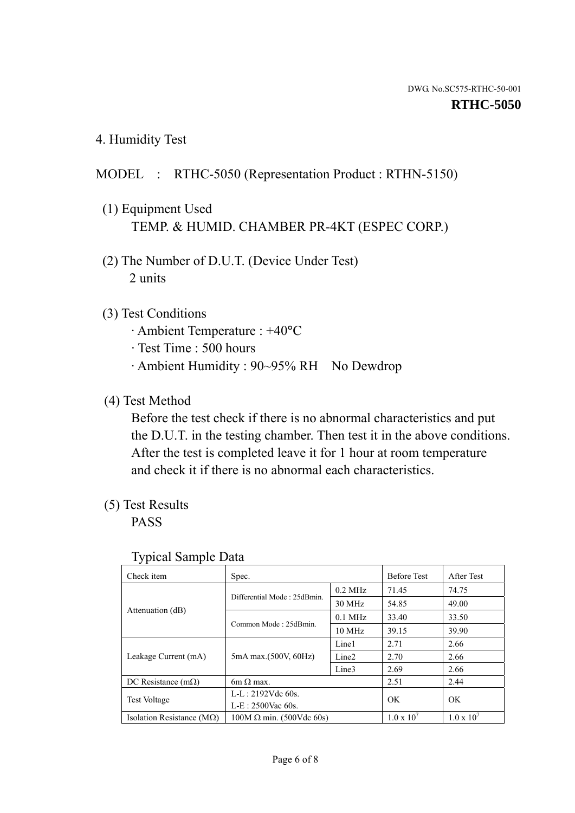4. Humidity Test

## MODEL : RTHC-5050 (Representation Product : RTHN-5150)

- (1) Equipment Used TEMP. & HUMID. CHAMBER PR-4KT (ESPEC CORP.)
- (2) The Number of D.U.T. (Device Under Test) 2 units

### (3) Test Conditions

- · Ambient Temperature : +40°C
- · Test Time : 500 hours
- · Ambient Humidity : 90~95% RH No Dewdrop

## (4) Test Method

 Before the test check if there is no abnormal characteristics and put the D.U.T. in the testing chamber. Then test it in the above conditions. After the test is completed leave it for 1 hour at room temperature and check it if there is no abnormal each characteristics.

## (5) Test Results

PASS

| ັ່<br>Check item                   | Spec.                       |                   | <b>Before Test</b>  | After Test          |
|------------------------------------|-----------------------------|-------------------|---------------------|---------------------|
|                                    | Differential Mode: 25dBmin. | $0.2$ MHz         | 71.45               | 74.75               |
|                                    |                             | 30 MHz            | 54.85               | 49.00               |
| Attenuation (dB)                   | Common Mode: 25dBmin.       | $0.1$ MHz         | 33.40               | 33.50               |
|                                    |                             | $10 \text{ MHz}$  | 39.15               | 39.90               |
| Leakage Current (mA)               | 5mA max.(500V, 60Hz)        | Line1             | 2.71                | 2.66                |
|                                    |                             | Line <sub>2</sub> | 2.70                | 2.66                |
|                                    |                             | Line3             | 2.69                | 2.66                |
| DC Resistance $(m\Omega)$          | $6m \Omega$ max.            |                   | 2.51                | 2.44                |
| Test Voltage                       | $L-L: 2192Vdc$ 60s.         |                   | OK                  | OK.                 |
|                                    | $L-E: 2500$ Vac 60s.        |                   |                     |                     |
| Isolation Resistance ( $M\Omega$ ) | $100M$ Ω min. (500Vdc 60s)  |                   | $1.0 \times 10^{7}$ | $1.0 \times 10^{7}$ |

#### Typical Sample Data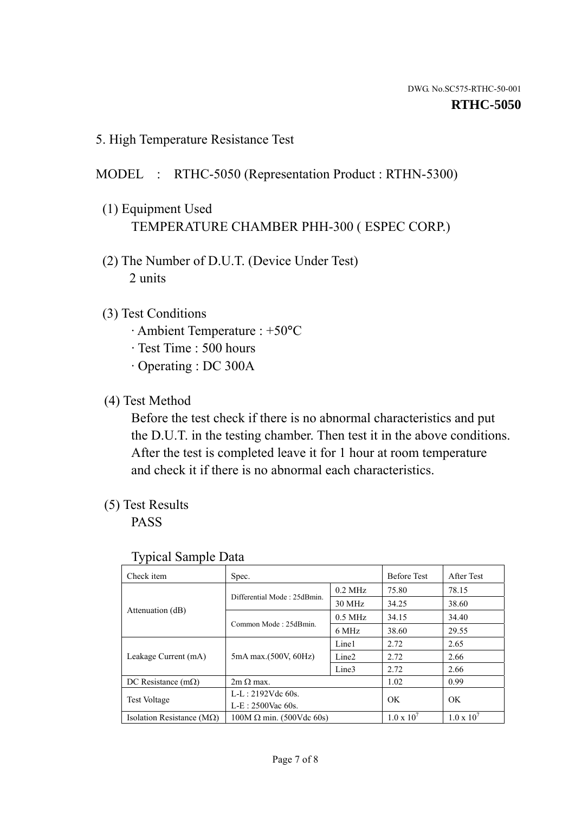5. High Temperature Resistance Test

## MODEL : RTHC-5050 (Representation Product : RTHN-5300)

- (1) Equipment Used TEMPERATURE CHAMBER PHH-300 ( ESPEC CORP.)
- (2) The Number of D.U.T. (Device Under Test) 2 units
- (3) Test Conditions
	- · Ambient Temperature : +50°C
	- · Test Time : 500 hours
	- · Operating : DC 300A
- (4) Test Method

 Before the test check if there is no abnormal characteristics and put the D.U.T. in the testing chamber. Then test it in the above conditions. After the test is completed leave it for 1 hour at room temperature and check it if there is no abnormal each characteristics.

(5) Test Results

PASS

| Check item                         | Spec.                           |                   | <b>Before Test</b>  | After Test          |
|------------------------------------|---------------------------------|-------------------|---------------------|---------------------|
|                                    | Differential Mode: 25dBmin.     | $0.2$ MHz         | 75.80               | 78.15               |
|                                    |                                 | 30 MHz            | 34.25               | 38.60               |
| Attenuation (dB)                   |                                 | $0.5$ MHz         | 34.15               | 34.40               |
|                                    | Common Mode: 25dBmin.           | 6 MHz             | 38.60               | 29.55               |
| Leakage Current (mA)               | 5mA max.(500V, 60Hz)            | Line1             | 2.72                | 2.65                |
|                                    |                                 | Line <sub>2</sub> | 2.72                | 2.66                |
|                                    |                                 | Line3             | 2.72                | 2.66                |
| DC Resistance $(m\Omega)$          | $2m \Omega$ max.                |                   | 1.02                | 0.99                |
| <b>Test Voltage</b>                | $L-L: 2192Vdc$ 60s.             |                   | OK.<br>OK           |                     |
|                                    | $L-E: 2500$ Vac 60s.            |                   |                     |                     |
| Isolation Resistance ( $M\Omega$ ) | $100M \Omega$ min. (500Vdc 60s) |                   | $1.0 \times 10^{7}$ | $1.0 \times 10^{7}$ |

#### Typical Sample Data